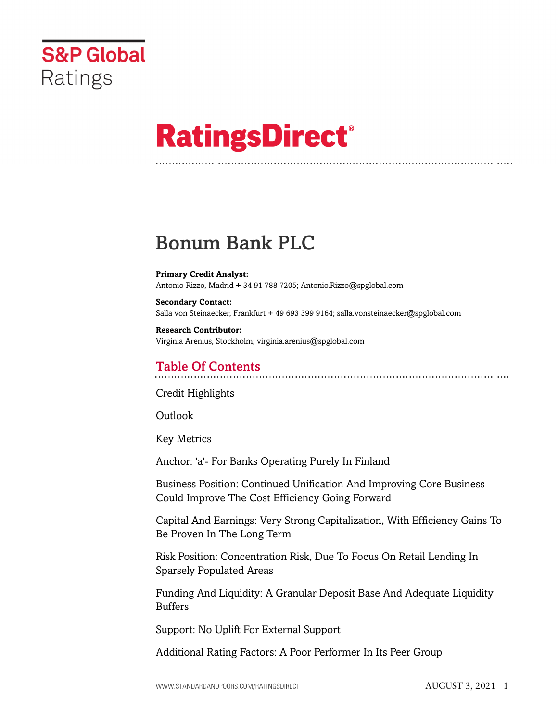

# **RatingsDirect®**

## Bonum Bank PLC

**Primary Credit Analyst:** Antonio Rizzo, Madrid + 34 91 788 7205; Antonio.Rizzo@spglobal.com

**Secondary Contact:** Salla von Steinaecker, Frankfurt + 49 693 399 9164; salla.vonsteinaecker@spglobal.com

**Research Contributor:** Virginia Arenius, Stockholm; virginia.arenius@spglobal.com

### Table Of Contents

[Credit Highlights](#page-2-0)

Outlook

[Key Metrics](#page-3-0)

[Anchor: 'a'- For Banks Operating Purely In Finland](#page-4-0)

[Business Position: Continued Unification And Improving Core Business](#page-5-0) [Could Improve The Cost Efficiency Going Forward](#page-5-0)

[Capital And Earnings: Very Strong Capitalization, With Efficiency Gains To](#page-6-0) [Be Proven In The Long Term](#page-6-0)

[Risk Position: Concentration Risk, Due To Focus On Retail Lending In](#page-8-0) [Sparsely Populated Areas](#page-8-0)

[Funding And Liquidity: A Granular Deposit Base And Adequate Liquidity](#page-10-0) [Buffers](#page-10-0)

[Support: No Uplift For External Support](#page-11-0)

[Additional Rating Factors: A Poor Performer In Its Peer Group](#page-11-1)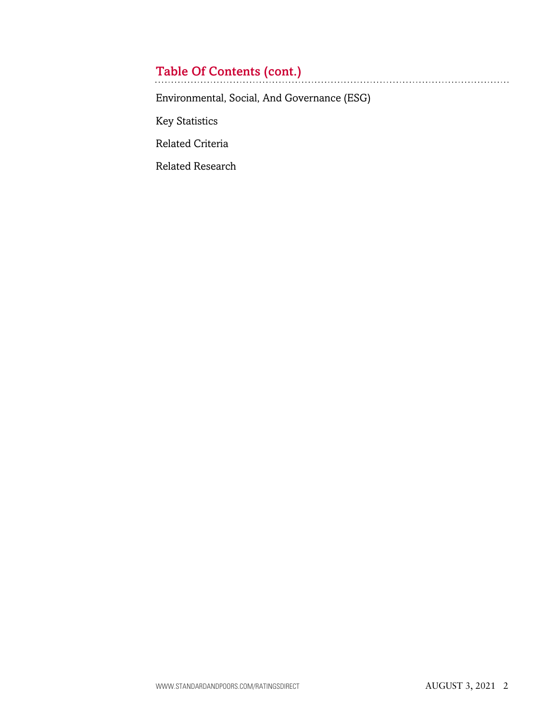## Table Of Contents (cont.)

[Environmental, Social, And Governance \(ESG\)](#page-12-0)

[Key Statistics](#page-13-0)

[Related Criteria](#page-15-0)

[Related Research](#page-16-0)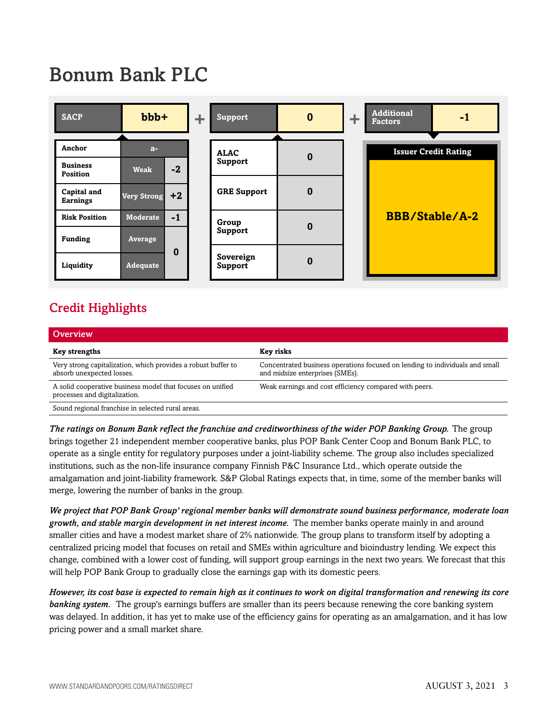## Bonum Bank PLC



### <span id="page-2-0"></span>Credit Highlights

| <b>Overview</b>                                                                             |                                                                                                                 |
|---------------------------------------------------------------------------------------------|-----------------------------------------------------------------------------------------------------------------|
| <b>Key strengths</b>                                                                        | Key risks                                                                                                       |
| Very strong capitalization, which provides a robust buffer to<br>absorb unexpected losses.  | Concentrated business operations focused on lending to individuals and small<br>and midsize enterprises (SMEs). |
| A solid cooperative business model that focuses on unified<br>processes and digitalization. | Weak earnings and cost efficiency compared with peers.                                                          |
| Sound regional franchise in selected rural areas.                                           |                                                                                                                 |

*The ratings on Bonum Bank reflect the franchise and creditworthiness of the wider POP Banking Group.* The group brings together 21 independent member cooperative banks, plus POP Bank Center Coop and Bonum Bank PLC, to operate as a single entity for regulatory purposes under a joint-liability scheme. The group also includes specialized institutions, such as the non-life insurance company Finnish P&C Insurance Ltd., which operate outside the amalgamation and joint-liability framework. S&P Global Ratings expects that, in time, some of the member banks will merge, lowering the number of banks in the group.

*We project that POP Bank Group' regional member banks will demonstrate sound business performance, moderate loan growth, and stable margin development in net interest income.* The member banks operate mainly in and around smaller cities and have a modest market share of 2% nationwide. The group plans to transform itself by adopting a centralized pricing model that focuses on retail and SMEs within agriculture and bioindustry lending. We expect this change, combined with a lower cost of funding, will support group earnings in the next two years. We forecast that this will help POP Bank Group to gradually close the earnings gap with its domestic peers.

*However, its cost base is expected to remain high as it continues to work on digital transformation and renewing its core banking system.* The group's earnings buffers are smaller than its peers because renewing the core banking system was delayed. In addition, it has yet to make use of the efficiency gains for operating as an amalgamation, and it has low pricing power and a small market share.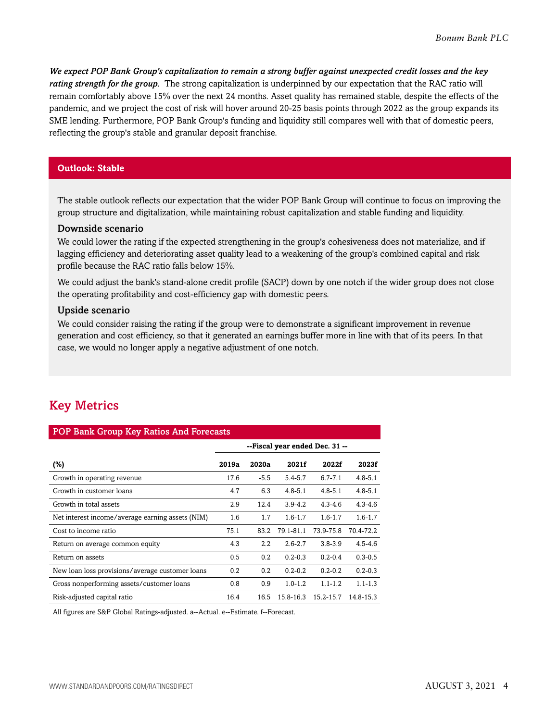*We expect POP Bank Group's capitalization to remain a strong buffer against unexpected credit losses and the key rating strength for the group.* The strong capitalization is underpinned by our expectation that the RAC ratio will remain comfortably above 15% over the next 24 months. Asset quality has remained stable, despite the effects of the pandemic, and we project the cost of risk will hover around 20-25 basis points through 2022 as the group expands its SME lending. Furthermore, POP Bank Group's funding and liquidity still compares well with that of domestic peers, reflecting the group's stable and granular deposit franchise.

### **Outlook: Stable**

The stable outlook reflects our expectation that the wider POP Bank Group will continue to focus on improving the group structure and digitalization, while maintaining robust capitalization and stable funding and liquidity.

#### Downside scenario

We could lower the rating if the expected strengthening in the group's cohesiveness does not materialize, and if lagging efficiency and deteriorating asset quality lead to a weakening of the group's combined capital and risk profile because the RAC ratio falls below 15%.

We could adjust the bank's stand-alone credit profile (SACP) down by one notch if the wider group does not close the operating profitability and cost-efficiency gap with domestic peers.

### Upside scenario

We could consider raising the rating if the group were to demonstrate a significant improvement in revenue generation and cost efficiency, so that it generated an earnings buffer more in line with that of its peers. In that case, we would no longer apply a negative adjustment of one notch.

### <span id="page-3-0"></span>Key Metrics

| <b>POP Bank Group Key Ratios And Forecasts</b>   |                                |                  |             |             |             |  |  |  |
|--------------------------------------------------|--------------------------------|------------------|-------------|-------------|-------------|--|--|--|
|                                                  | --Fiscal year ended Dec. 31 -- |                  |             |             |             |  |  |  |
| (%)                                              | 2019a                          | 2020a            | 2021f       | 2022f       | 2023f       |  |  |  |
| Growth in operating revenue                      | 17.6                           | $-5.5$           | $5.4 - 5.7$ | $6.7 - 7.1$ | $4.8 - 5.1$ |  |  |  |
| Growth in customer loans                         | 4.7                            | 6.3              | $4.8 - 5.1$ | $4.8 - 5.1$ | $4.8 - 5.1$ |  |  |  |
| Growth in total assets                           | 2.9                            | 12.4             | $3.9 - 4.2$ | $4.3 - 4.6$ | $4.3 - 4.6$ |  |  |  |
| Net interest income/average earning assets (NIM) | 1.6                            | 1.7              | $1.6 - 1.7$ | $1.6 - 1.7$ | $1.6 - 1.7$ |  |  |  |
| Cost to income ratio                             | 75.1                           | 83.2             | 79.1-81.1   | 73.9-75.8   | 70.4-72.2   |  |  |  |
| Return on average common equity                  | 4.3                            | $2.2\phantom{0}$ | $2.6 - 2.7$ | $3.8 - 3.9$ | $4.5 - 4.6$ |  |  |  |
| Return on assets                                 | 0.5                            | 0.2              | $0.2 - 0.3$ | $0.2 - 0.4$ | $0.3 - 0.5$ |  |  |  |
| New loan loss provisions/average customer loans  | 0.2                            | 0.2              | $0.2 - 0.2$ | $0.2 - 0.2$ | $0.2 - 0.3$ |  |  |  |
| Gross nonperforming assets/customer loans        | 0.8                            | 0.9              | $1.0 - 1.2$ | $1.1 - 1.2$ | $1.1 - 1.3$ |  |  |  |
| Risk-adjusted capital ratio                      | 16.4                           | 16.5             | 15.8-16.3   | 15.2-15.7   | 14.8-15.3   |  |  |  |

All figures are S&P Global Ratings-adjusted. a--Actual. e--Estimate. f--Forecast.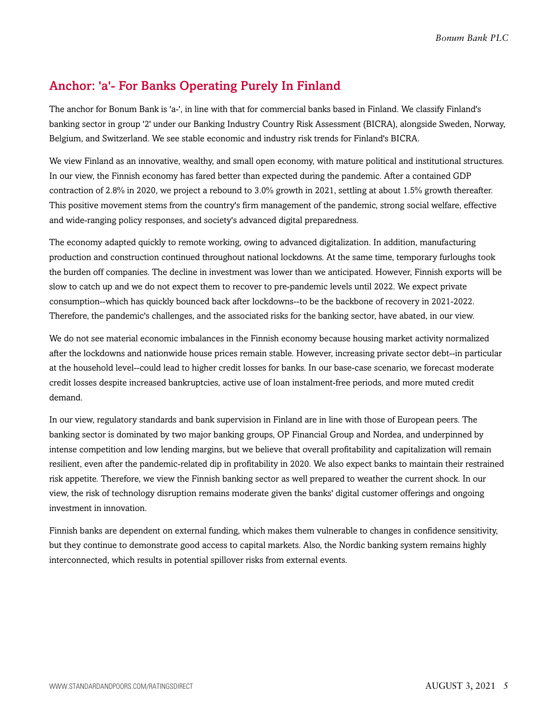### <span id="page-4-0"></span>Anchor: 'a'- For Banks Operating Purely In Finland

The anchor for Bonum Bank is 'a-', in line with that for commercial banks based in Finland. We classify Finland's banking sector in group '2' under our Banking Industry Country Risk Assessment (BICRA), alongside Sweden, Norway, Belgium, and Switzerland. We see stable economic and industry risk trends for Finland's BICRA.

We view Finland as an innovative, wealthy, and small open economy, with mature political and institutional structures. In our view, the Finnish economy has fared better than expected during the pandemic. After a contained GDP contraction of 2.8% in 2020, we project a rebound to 3.0% growth in 2021, settling at about 1.5% growth thereafter. This positive movement stems from the country's firm management of the pandemic, strong social welfare, effective and wide-ranging policy responses, and society's advanced digital preparedness.

The economy adapted quickly to remote working, owing to advanced digitalization. In addition, manufacturing production and construction continued throughout national lockdowns. At the same time, temporary furloughs took the burden off companies. The decline in investment was lower than we anticipated. However, Finnish exports will be slow to catch up and we do not expect them to recover to pre-pandemic levels until 2022. We expect private consumption--which has quickly bounced back after lockdowns--to be the backbone of recovery in 2021-2022. Therefore, the pandemic's challenges, and the associated risks for the banking sector, have abated, in our view.

We do not see material economic imbalances in the Finnish economy because housing market activity normalized after the lockdowns and nationwide house prices remain stable. However, increasing private sector debt--in particular at the household level--could lead to higher credit losses for banks. In our base-case scenario, we forecast moderate credit losses despite increased bankruptcies, active use of loan instalment-free periods, and more muted credit demand.

In our view, regulatory standards and bank supervision in Finland are in line with those of European peers. The banking sector is dominated by two major banking groups, OP Financial Group and Nordea, and underpinned by intense competition and low lending margins, but we believe that overall profitability and capitalization will remain resilient, even after the pandemic-related dip in profitability in 2020. We also expect banks to maintain their restrained risk appetite. Therefore, we view the Finnish banking sector as well prepared to weather the current shock. In our view, the risk of technology disruption remains moderate given the banks' digital customer offerings and ongoing investment in innovation.

Finnish banks are dependent on external funding, which makes them vulnerable to changes in confidence sensitivity, but they continue to demonstrate good access to capital markets. Also, the Nordic banking system remains highly interconnected, which results in potential spillover risks from external events.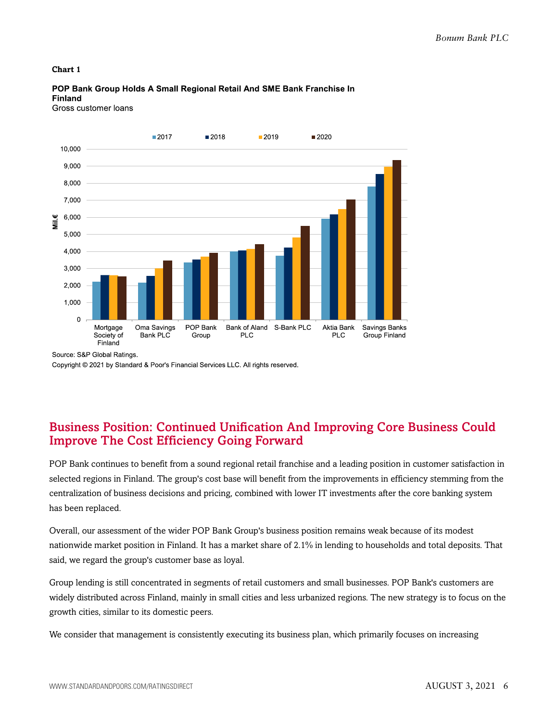#### **Chart 1**



POP Bank Group Holds A Small Regional Retail And SME Bank Franchise In **Finland** Gross customer loans

Source: S&P Global Ratings.

Copyright @ 2021 by Standard & Poor's Financial Services LLC. All rights reserved.

### <span id="page-5-0"></span>Business Position: Continued Unification And Improving Core Business Could Improve The Cost Efficiency Going Forward

POP Bank continues to benefit from a sound regional retail franchise and a leading position in customer satisfaction in selected regions in Finland. The group's cost base will benefit from the improvements in efficiency stemming from the centralization of business decisions and pricing, combined with lower IT investments after the core banking system has been replaced.

Overall, our assessment of the wider POP Bank Group's business position remains weak because of its modest nationwide market position in Finland. It has a market share of 2.1% in lending to households and total deposits. That said, we regard the group's customer base as loyal.

Group lending is still concentrated in segments of retail customers and small businesses. POP Bank's customers are widely distributed across Finland, mainly in small cities and less urbanized regions. The new strategy is to focus on the growth cities, similar to its domestic peers.

We consider that management is consistently executing its business plan, which primarily focuses on increasing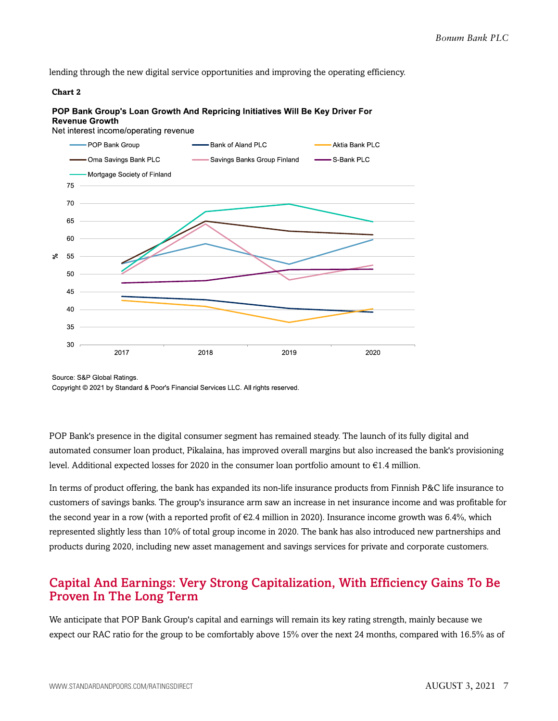lending through the new digital service opportunities and improving the operating efficiency.

#### **Chart 2**

#### POP Bank Group's Loan Growth And Repricing Initiatives Will Be Key Driver For **Revenue Growth**

Net interest income/operating revenue



Source: S&P Global Ratings.

Copyright © 2021 by Standard & Poor's Financial Services LLC. All rights reserved.

POP Bank's presence in the digital consumer segment has remained steady. The launch of its fully digital and automated consumer loan product, Pikalaina, has improved overall margins but also increased the bank's provisioning level. Additional expected losses for 2020 in the consumer loan portfolio amount to €1.4 million.

In terms of product offering, the bank has expanded its non-life insurance products from Finnish P&C life insurance to customers of savings banks. The group's insurance arm saw an increase in net insurance income and was profitable for the second year in a row (with a reported profit of  $\epsilon$ 2.4 million in 2020). Insurance income growth was 6.4%, which represented slightly less than 10% of total group income in 2020. The bank has also introduced new partnerships and products during 2020, including new asset management and savings services for private and corporate customers.

### <span id="page-6-0"></span>Capital And Earnings: Very Strong Capitalization, With Efficiency Gains To Be Proven In The Long Term

We anticipate that POP Bank Group's capital and earnings will remain its key rating strength, mainly because we expect our RAC ratio for the group to be comfortably above 15% over the next 24 months, compared with 16.5% as of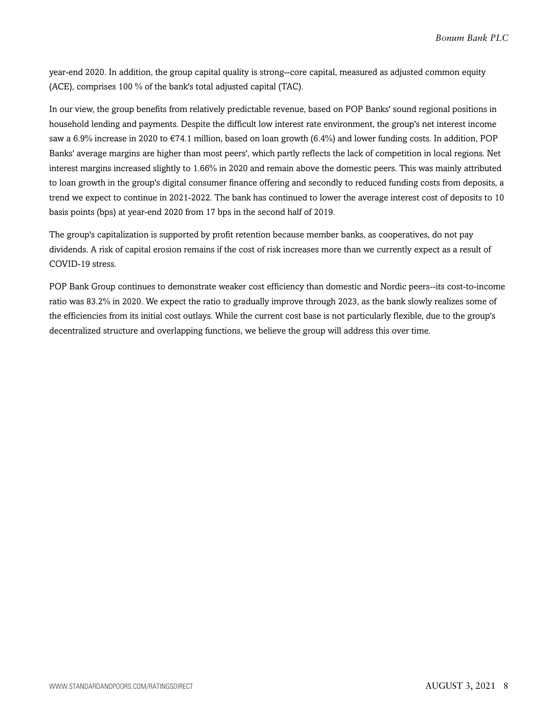year-end 2020. In addition, the group capital quality is strong--core capital, measured as adjusted common equity (ACE), comprises 100 % of the bank's total adjusted capital (TAC).

In our view, the group benefits from relatively predictable revenue, based on POP Banks' sound regional positions in household lending and payments. Despite the difficult low interest rate environment, the group's net interest income saw a 6.9% increase in 2020 to  $\epsilon$ 74.1 million, based on loan growth (6.4%) and lower funding costs. In addition, POP Banks' average margins are higher than most peers', which partly reflects the lack of competition in local regions. Net interest margins increased slightly to 1.66% in 2020 and remain above the domestic peers. This was mainly attributed to loan growth in the group's digital consumer finance offering and secondly to reduced funding costs from deposits, a trend we expect to continue in 2021-2022. The bank has continued to lower the average interest cost of deposits to 10 basis points (bps) at year-end 2020 from 17 bps in the second half of 2019.

The group's capitalization is supported by profit retention because member banks, as cooperatives, do not pay dividends. A risk of capital erosion remains if the cost of risk increases more than we currently expect as a result of COVID-19 stress.

POP Bank Group continues to demonstrate weaker cost efficiency than domestic and Nordic peers--its cost-to-income ratio was 83.2% in 2020. We expect the ratio to gradually improve through 2023, as the bank slowly realizes some of the efficiencies from its initial cost outlays. While the current cost base is not particularly flexible, due to the group's decentralized structure and overlapping functions, we believe the group will address this over time.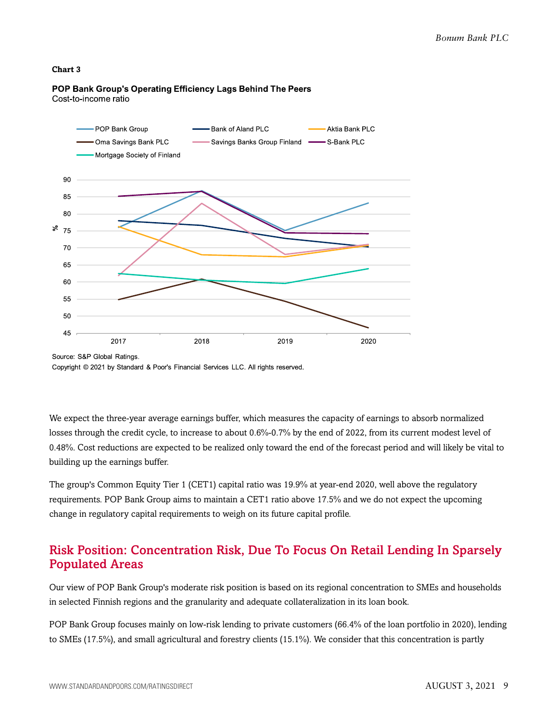#### **Chart 3**



POP Bank Group's Operating Efficiency Lags Behind The Peers Cost-to-income ratio

Source: S&P Global Ratings. Copyright © 2021 by Standard & Poor's Financial Services LLC. All rights reserved.

We expect the three-year average earnings buffer, which measures the capacity of earnings to absorb normalized losses through the credit cycle, to increase to about 0.6%-0.7% by the end of 2022, from its current modest level of 0.48%. Cost reductions are expected to be realized only toward the end of the forecast period and will likely be vital to building up the earnings buffer.

The group's Common Equity Tier 1 (CET1) capital ratio was 19.9% at year-end 2020, well above the regulatory requirements. POP Bank Group aims to maintain a CET1 ratio above 17.5% and we do not expect the upcoming change in regulatory capital requirements to weigh on its future capital profile.

### <span id="page-8-0"></span>Risk Position: Concentration Risk, Due To Focus On Retail Lending In Sparsely Populated Areas

Our view of POP Bank Group's moderate risk position is based on its regional concentration to SMEs and households in selected Finnish regions and the granularity and adequate collateralization in its loan book.

POP Bank Group focuses mainly on low-risk lending to private customers (66.4% of the loan portfolio in 2020), lending to SMEs (17.5%), and small agricultural and forestry clients (15.1%). We consider that this concentration is partly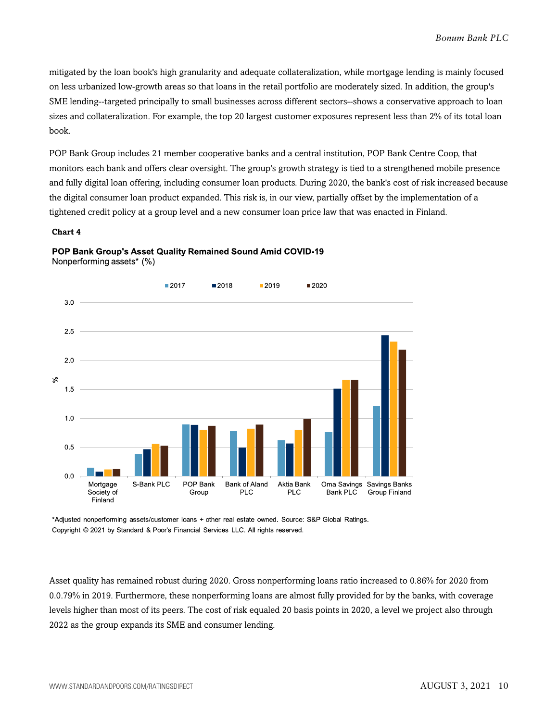mitigated by the loan book's high granularity and adequate collateralization, while mortgage lending is mainly focused on less urbanized low-growth areas so that loans in the retail portfolio are moderately sized. In addition, the group's SME lending--targeted principally to small businesses across different sectors--shows a conservative approach to loan sizes and collateralization. For example, the top 20 largest customer exposures represent less than 2% of its total loan book.

POP Bank Group includes 21 member cooperative banks and a central institution, POP Bank Centre Coop, that monitors each bank and offers clear oversight. The group's growth strategy is tied to a strengthened mobile presence and fully digital loan offering, including consumer loan products. During 2020, the bank's cost of risk increased because the digital consumer loan product expanded. This risk is, in our view, partially offset by the implementation of a tightened credit policy at a group level and a new consumer loan price law that was enacted in Finland.

#### **Chart 4**



### POP Bank Group's Asset Quality Remained Sound Amid COVID-19

Nonperforming assets\* (%)

\*Adjusted nonperforming assets/customer loans + other real estate owned. Source: S&P Global Ratings. Copyright @ 2021 by Standard & Poor's Financial Services LLC. All rights reserved.

Asset quality has remained robust during 2020. Gross nonperforming loans ratio increased to 0.86% for 2020 from 0.0.79% in 2019. Furthermore, these nonperforming loans are almost fully provided for by the banks, with coverage levels higher than most of its peers. The cost of risk equaled 20 basis points in 2020, a level we project also through 2022 as the group expands its SME and consumer lending.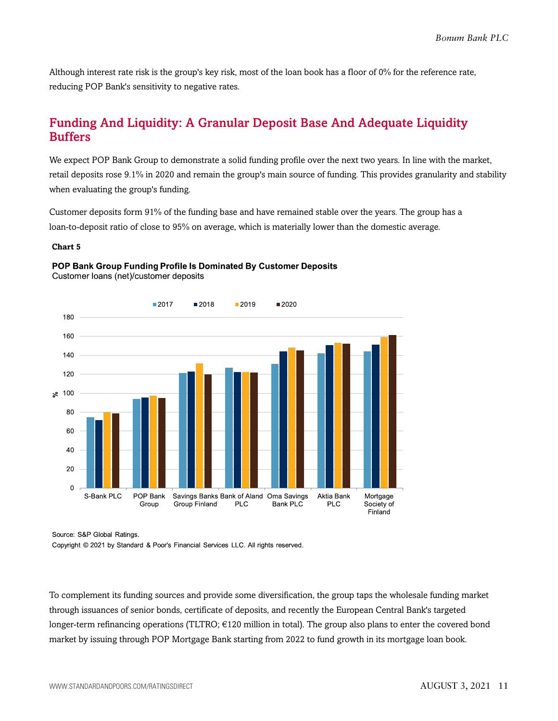Although interest rate risk is the group's key risk, most of the loan book has a floor of 0% for the reference rate, reducing POP Bank's sensitivity to negative rates.

### <span id="page-10-0"></span>Funding And Liquidity: A Granular Deposit Base And Adequate Liquidity **Buffers**

We expect POP Bank Group to demonstrate a solid funding profile over the next two years. In line with the market, retail deposits rose 9.1% in 2020 and remain the group's main source of funding. This provides granularity and stability when evaluating the group's funding.

Customer deposits form 91% of the funding base and have remained stable over the years. The group has a loan-to-deposit ratio of close to 95% on average, which is materially lower than the domestic average.

#### **Chart 5**



### POP Bank Group Funding Profile Is Dominated By Customer Deposits Customer loans (net)/customer deposits

Source: S&P Global Ratings.

Copyright @ 2021 by Standard & Poor's Financial Services LLC. All rights reserved.

To complement its funding sources and provide some diversification, the group taps the wholesale funding market through issuances of senior bonds, certificate of deposits, and recently the European Central Bank's targeted longer-term refinancing operations (TLTRO; €120 million in total). The group also plans to enter the covered bond market by issuing through POP Mortgage Bank starting from 2022 to fund growth in its mortgage loan book.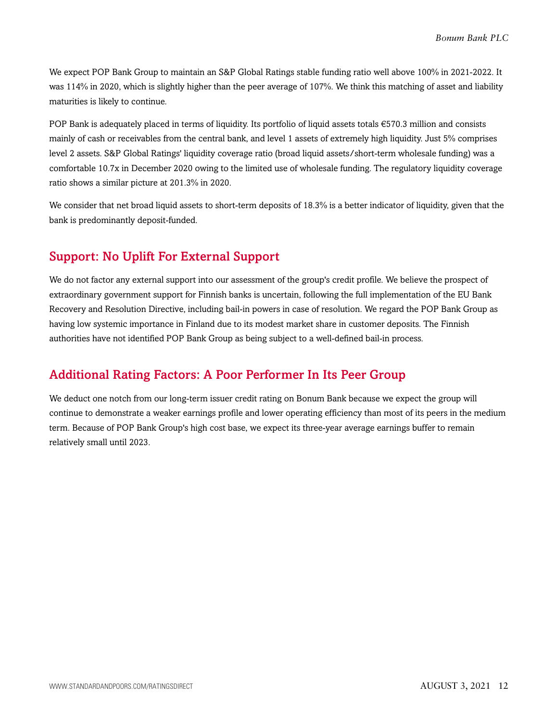We expect POP Bank Group to maintain an S&P Global Ratings stable funding ratio well above 100% in 2021-2022. It was 114% in 2020, which is slightly higher than the peer average of 107%. We think this matching of asset and liability maturities is likely to continue.

POP Bank is adequately placed in terms of liquidity. Its portfolio of liquid assets totals €570.3 million and consists mainly of cash or receivables from the central bank, and level 1 assets of extremely high liquidity. Just 5% comprises level 2 assets. S&P Global Ratings' liquidity coverage ratio (broad liquid assets/short-term wholesale funding) was a comfortable 10.7x in December 2020 owing to the limited use of wholesale funding. The regulatory liquidity coverage ratio shows a similar picture at 201.3% in 2020.

We consider that net broad liquid assets to short-term deposits of 18.3% is a better indicator of liquidity, given that the bank is predominantly deposit-funded.

### <span id="page-11-0"></span>Support: No Uplift For External Support

We do not factor any external support into our assessment of the group's credit profile. We believe the prospect of extraordinary government support for Finnish banks is uncertain, following the full implementation of the EU Bank Recovery and Resolution Directive, including bail-in powers in case of resolution. We regard the POP Bank Group as having low systemic importance in Finland due to its modest market share in customer deposits. The Finnish authorities have not identified POP Bank Group as being subject to a well-defined bail-in process.

### <span id="page-11-1"></span>Additional Rating Factors: A Poor Performer In Its Peer Group

We deduct one notch from our long-term issuer credit rating on Bonum Bank because we expect the group will continue to demonstrate a weaker earnings profile and lower operating efficiency than most of its peers in the medium term. Because of POP Bank Group's high cost base, we expect its three-year average earnings buffer to remain relatively small until 2023.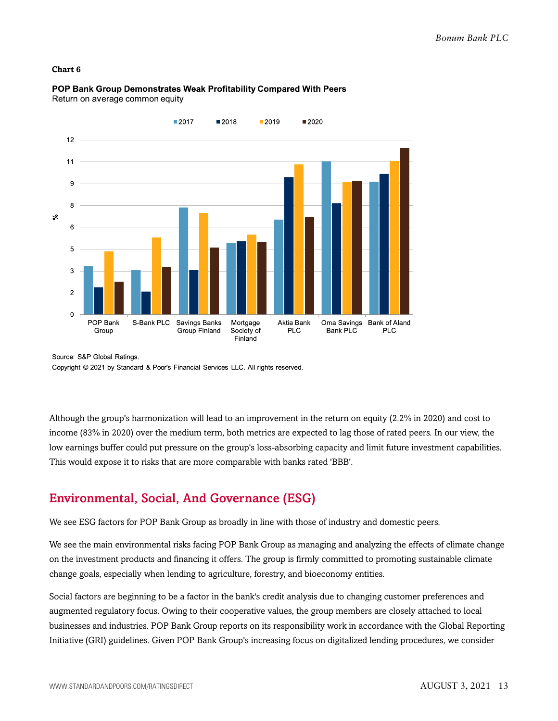#### **Chart 6**



POP Bank Group Demonstrates Weak Profitability Compared With Peers Return on average common equity

Source: S&P Global Ratings. Copyright © 2021 by Standard & Poor's Financial Services LLC. All rights reserved.

Although the group's harmonization will lead to an improvement in the return on equity (2.2% in 2020) and cost to income (83% in 2020) over the medium term, both metrics are expected to lag those of rated peers. In our view, the low earnings buffer could put pressure on the group's loss-absorbing capacity and limit future investment capabilities. This would expose it to risks that are more comparable with banks rated 'BBB'.

### <span id="page-12-0"></span>Environmental, Social, And Governance (ESG)

We see ESG factors for POP Bank Group as broadly in line with those of industry and domestic peers.

We see the main environmental risks facing POP Bank Group as managing and analyzing the effects of climate change on the investment products and financing it offers. The group is firmly committed to promoting sustainable climate change goals, especially when lending to agriculture, forestry, and bioeconomy entities.

Social factors are beginning to be a factor in the bank's credit analysis due to changing customer preferences and augmented regulatory focus. Owing to their cooperative values, the group members are closely attached to local businesses and industries. POP Bank Group reports on its responsibility work in accordance with the Global Reporting Initiative (GRI) guidelines. Given POP Bank Group's increasing focus on digitalized lending procedures, we consider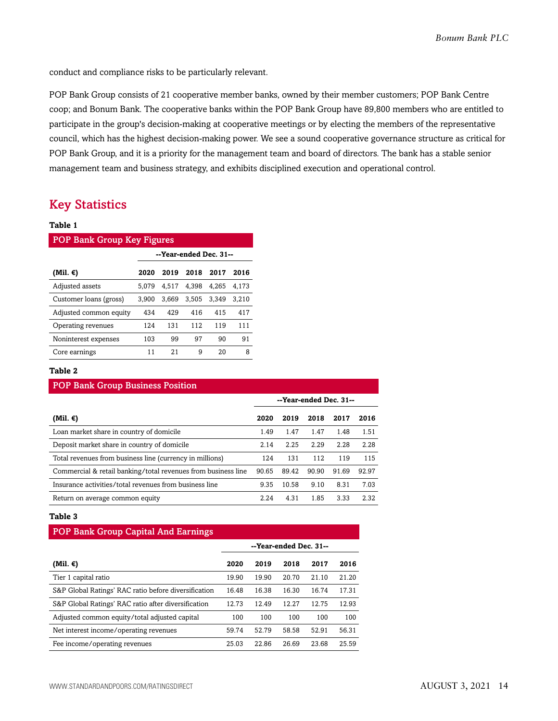conduct and compliance risks to be particularly relevant.

POP Bank Group consists of 21 cooperative member banks, owned by their member customers; POP Bank Centre coop; and Bonum Bank. The cooperative banks within the POP Bank Group have 89,800 members who are entitled to participate in the group's decision-making at cooperative meetings or by electing the members of the representative council, which has the highest decision-making power. We see a sound cooperative governance structure as critical for POP Bank Group, and it is a priority for the management team and board of directors. The bank has a stable senior management team and business strategy, and exhibits disciplined execution and operational control.

### <span id="page-13-0"></span>Key Statistics

#### **Table 1**

| <b>POP Bank Group Key Figures</b> |                        |       |       |       |       |  |  |  |
|-----------------------------------|------------------------|-------|-------|-------|-------|--|--|--|
|                                   | --Year-ended Dec. 31-- |       |       |       |       |  |  |  |
| (Mil. €)                          | 2020                   | 2019  | 2018  | 2017  | 2016  |  |  |  |
| Adjusted assets                   | 5.079                  | 4.517 | 4.398 | 4.265 | 4.173 |  |  |  |
| Customer loans (gross)            | 3.900                  | 3.669 | 3,505 | 3.349 | 3.210 |  |  |  |
| Adjusted common equity            | 434                    | 429   | 416   | 415   | 417   |  |  |  |
| Operating revenues                | 124                    | 131   | 112   | 119   | 111   |  |  |  |
| Noninterest expenses              | 103                    | 99    | 97    | 90    | 91    |  |  |  |
| Core earnings                     | 11                     | 21    | 9     | 20    | 8     |  |  |  |

### **Table 2**

| <b>POP Bank Group Business Position</b>                       |                        |       |       |       |       |  |  |  |
|---------------------------------------------------------------|------------------------|-------|-------|-------|-------|--|--|--|
|                                                               | --Year-ended Dec. 31-- |       |       |       |       |  |  |  |
| (Mil. €)                                                      | 2020                   | 2019  | 2018  | 2017  | 2016  |  |  |  |
| Loan market share in country of domicile                      | 1.49                   | 1.47  | 1.47  | 1.48  | 1.51  |  |  |  |
| Deposit market share in country of domicile                   | 2.14                   | 2.25  | 2.29  | 2.28  | 2.28  |  |  |  |
| Total revenues from business line (currency in millions)      | 124                    | 131   | 112   | 119   | 115   |  |  |  |
| Commercial & retail banking/total revenues from business line | 90.65                  | 89.42 | 90.90 | 91.69 | 92.97 |  |  |  |
| Insurance activities/total revenues from business line        | 9.35                   | 10.58 | 9.10  | 8.31  | 7.03  |  |  |  |
| Return on average common equity                               | 2.24                   | 4.31  | 1.85  | 3.33  | 2.32  |  |  |  |

#### **Table 3**

| <b>POP Bank Group Capital And Earnings</b>           |                        |       |       |       |       |  |
|------------------------------------------------------|------------------------|-------|-------|-------|-------|--|
|                                                      | --Year-ended Dec. 31-- |       |       |       |       |  |
| (Mil. €)                                             | 2020                   | 2019  | 2018  | 2017  | 2016  |  |
| Tier 1 capital ratio                                 | 19.90                  | 19.90 | 20.70 | 21.10 | 21.20 |  |
| S&P Global Ratings' RAC ratio before diversification | 16.48                  | 16.38 | 16.30 | 16.74 | 17.31 |  |
| S&P Global Ratings' RAC ratio after diversification  | 12.73                  | 12.49 | 12.27 | 12.75 | 12.93 |  |
| Adjusted common equity/total adjusted capital        | 100                    | 100   | 100   | 100   | 100   |  |
| Net interest income/operating revenues               | 59.74                  | 52.79 | 58.58 | 52.91 | 56.31 |  |
| Fee income/operating revenues                        | 25.03                  | 22.86 | 26.69 | 23.68 | 25.59 |  |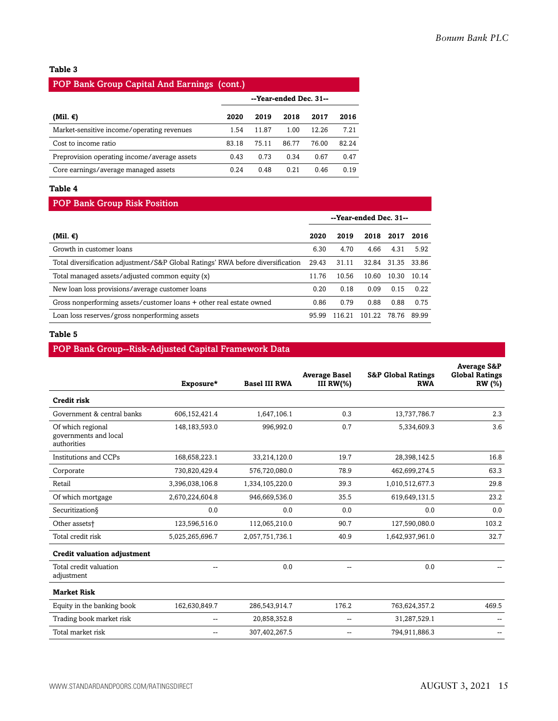### **Table 3**

| POP Bank Group Capital And Earnings (cont.)  |                        |       |       |       |       |  |  |  |
|----------------------------------------------|------------------------|-------|-------|-------|-------|--|--|--|
|                                              | --Year-ended Dec. 31-- |       |       |       |       |  |  |  |
| (Mil. €)                                     | 2020                   | 2019  | 2018  | 2017  | 2016  |  |  |  |
| Market-sensitive income/operating revenues   | 1.54                   | 11.87 | 1.00  | 12.26 | 7.21  |  |  |  |
| Cost to income ratio                         | 83.18                  | 75.11 | 86.77 | 76.00 | 82.24 |  |  |  |
| Preprovision operating income/average assets | 0.43                   | 0.73  | 0.34  | 0.67  | 0.47  |  |  |  |
| Core earnings/average managed assets         | 0.24                   | 0.48  | 0.21  | 0.46  | 0.19  |  |  |  |

### **Table 4**

### POP Bank Group Risk Position

|                                                                                 | --Year-ended Dec. 31-- |        |        |       |        |
|---------------------------------------------------------------------------------|------------------------|--------|--------|-------|--------|
| (Mil. €)                                                                        | 2020                   | 2019   | 2018   | 2017  | 2016   |
| Growth in customer loans                                                        | 6.30                   | 4.70   | 4.66   | 4.31  | 5.92   |
| Total diversification adjustment/S&P Global Ratings' RWA before diversification | 29.43                  | 31.11  | 32.84  | 31.35 | -33.86 |
| Total managed assets/adjusted common equity (x)                                 | 11.76                  | 10.56  | 10.60  | 10.30 | 10.14  |
| New loan loss provisions/average customer loans                                 | 0.20                   | 0.18   | 0.09   | 0.15  | 0.22   |
| Gross nonperforming assets/customer loans + other real estate owned             | 0.86                   | 0.79   | 0.88   | 0.88  | 0.75   |
| Loan loss reserves/gross nonperforming assets                                   | 95.99                  | 116.21 | 101.22 | 78.76 | 89.99  |

#### **Table 5**

### POP Bank Group--Risk-Adjusted Capital Framework Data

|                                                           | Exposure*        | <b>Basel III RWA</b> | <b>Average Basel</b><br>III $RW(\%)$ | <b>S&amp;P Global Ratings</b><br><b>RWA</b> | <b>Average S&amp;P</b><br><b>Global Ratings</b><br><b>RW</b> (%) |
|-----------------------------------------------------------|------------------|----------------------|--------------------------------------|---------------------------------------------|------------------------------------------------------------------|
| <b>Credit risk</b>                                        |                  |                      |                                      |                                             |                                                                  |
| Government & central banks                                | 606,152,421.4    | 1,647,106.1          | 0.3                                  | 13,737,786.7                                | 2.3                                                              |
| Of which regional<br>governments and local<br>authorities | 148, 183, 593. 0 | 996,992.0            | 0.7                                  | 5,334,609.3                                 | 3.6                                                              |
| Institutions and CCPs                                     | 168,658,223.1    | 33,214,120.0         | 19.7                                 | 28,398,142.5                                | 16.8                                                             |
| Corporate                                                 | 730,820,429.4    | 576,720,080.0        | 78.9                                 | 462,699,274.5                               | 63.3                                                             |
| Retail                                                    | 3,396,038,106.8  | 1,334,105,220.0      | 39.3                                 | 1,010,512,677.3                             | 29.8                                                             |
| Of which mortgage                                         | 2,670,224,604.8  | 946,669,536.0        | 35.5                                 | 619,649,131.5                               | 23.2                                                             |
| Securitization§                                           | 0.0              | 0.0                  | 0.0                                  | 0.0                                         | 0.0                                                              |
| Other assets <sup>+</sup>                                 | 123,596,516.0    | 112,065,210.0        | 90.7                                 | 127,590,080.0                               | 103.2                                                            |
| Total credit risk                                         | 5,025,265,696.7  | 2,057,751,736.1      | 40.9                                 | 1,642,937,961.0                             | 32.7                                                             |
| <b>Credit valuation adjustment</b>                        |                  |                      |                                      |                                             |                                                                  |
| Total credit valuation<br>adjustment                      | --               | 0.0                  | --                                   | 0.0                                         |                                                                  |
| <b>Market Risk</b>                                        |                  |                      |                                      |                                             |                                                                  |
| Equity in the banking book                                | 162,630,849.7    | 286,543,914.7        | 176.2                                | 763,624,357.2                               | 469.5                                                            |
| Trading book market risk                                  | --               | 20,858,352.8         | -−                                   | 31,287,529.1                                |                                                                  |
| Total market risk                                         | --               | 307,402,267.5        | --                                   | 794,911,886.3                               |                                                                  |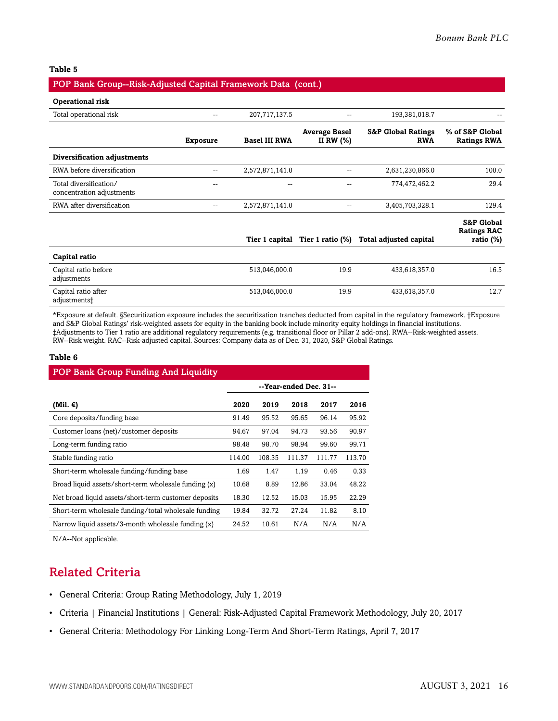### **Table 5**

### POP Bank Group--Risk-Adjusted Capital Framework Data (cont.)

#### **Operational risk**

| Total operational risk                              |                 | 207,717,137.5        |                                     | 193,381,018.7                               |                                                             |
|-----------------------------------------------------|-----------------|----------------------|-------------------------------------|---------------------------------------------|-------------------------------------------------------------|
|                                                     | <b>Exposure</b> | <b>Basel III RWA</b> | <b>Average Basel</b><br>II RW $(%)$ | <b>S&amp;P Global Ratings</b><br><b>RWA</b> | % of S&P Global<br><b>Ratings RWA</b>                       |
| Diversification adjustments                         |                 |                      |                                     |                                             |                                                             |
| RWA before diversification                          |                 | 2,572,871,141.0      |                                     | 2,631,230,866.0                             | 100.0                                                       |
| Total diversification/<br>concentration adjustments | --              | $- -$                |                                     | 774,472,462.2                               | 29.4                                                        |
| RWA after diversification                           | --              | 2,572,871,141.0      |                                     | 3,405,703,328.1                             | 129.4                                                       |
|                                                     |                 | Tier 1 capital       | Tier 1 ratio $(\%)$                 | <b>Total adjusted capital</b>               | <b>S&amp;P Global</b><br><b>Ratings RAC</b><br>ratio $(\%)$ |
| Capital ratio                                       |                 |                      |                                     |                                             |                                                             |
| Capital ratio before<br>adjustments                 |                 | 513,046,000.0        | 19.9                                | 433,618,357.0                               | 16.5                                                        |
| Capital ratio after<br>adjustments‡                 |                 | 513,046,000.0        | 19.9                                | 433,618,357.0                               | 12.7                                                        |

\*Exposure at default. §Securitization exposure includes the securitization tranches deducted from capital in the regulatory framework. †Exposure and S&P Global Ratings' risk-weighted assets for equity in the banking book include minority equity holdings in financial institutions. ‡Adjustments to Tier 1 ratio are additional regulatory requirements (e.g. transitional floor or Pillar 2 add-ons). RWA--Risk-weighted assets. RW--Risk weight. RAC--Risk-adjusted capital. Sources: Company data as of Dec. 31, 2020, S&P Global Ratings.

#### **Table 6**

| <b>POP Bank Group Funding And Liquidity</b>          |                        |        |        |        |        |  |
|------------------------------------------------------|------------------------|--------|--------|--------|--------|--|
|                                                      | --Year-ended Dec. 31-- |        |        |        |        |  |
| (Mil. €)                                             | 2020                   | 2019   | 2018   | 2017   | 2016   |  |
| Core deposits/funding base                           | 91.49                  | 95.52  | 95.65  | 96.14  | 95.92  |  |
| Customer loans (net)/customer deposits               | 94.67                  | 97.04  | 94.73  | 93.56  | 90.97  |  |
| Long-term funding ratio                              | 98.48                  | 98.70  | 98.94  | 99.60  | 99.71  |  |
| Stable funding ratio                                 | 114.00                 | 108.35 | 111.37 | 111.77 | 113.70 |  |
| Short-term wholesale funding/funding base            | 1.69                   | 1.47   | 1.19   | 0.46   | 0.33   |  |
| Broad liquid assets/short-term wholesale funding (x) | 10.68                  | 8.89   | 12.86  | 33.04  | 48.22  |  |
| Net broad liquid assets/short-term customer deposits | 18.30                  | 12.52  | 15.03  | 15.95  | 22.29  |  |
| Short-term wholesale funding/total wholesale funding | 19.84                  | 32.72  | 27.24  | 11.82  | 8.10   |  |
| Narrow liquid assets/3-month wholesale funding (x)   | 24.52                  | 10.61  | N/A    | N/A    | N/A    |  |

<span id="page-15-0"></span>N/A--Not applicable.

### Related Criteria

- General Criteria: Group Rating Methodology, July 1, 2019
- Criteria | Financial Institutions | General: Risk-Adjusted Capital Framework Methodology, July 20, 2017
- General Criteria: Methodology For Linking Long-Term And Short-Term Ratings, April 7, 2017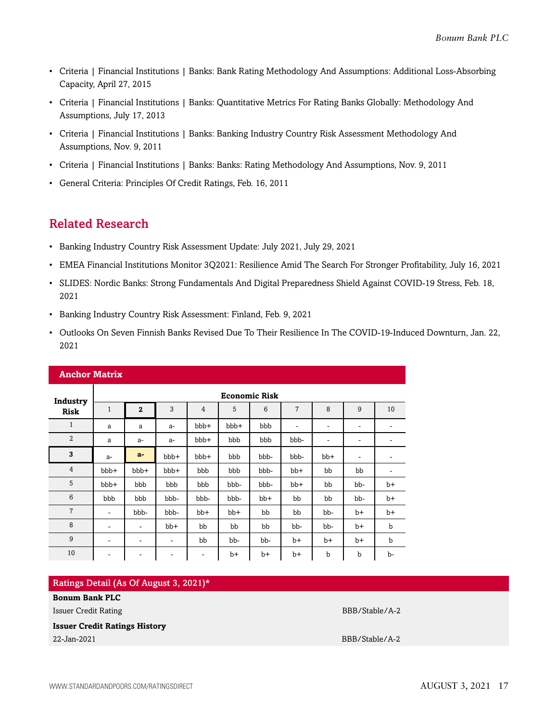- Criteria | Financial Institutions | Banks: Bank Rating Methodology And Assumptions: Additional Loss-Absorbing Capacity, April 27, 2015
- Criteria | Financial Institutions | Banks: Quantitative Metrics For Rating Banks Globally: Methodology And Assumptions, July 17, 2013
- Criteria | Financial Institutions | Banks: Banking Industry Country Risk Assessment Methodology And Assumptions, Nov. 9, 2011
- Criteria | Financial Institutions | Banks: Banks: Rating Methodology And Assumptions, Nov. 9, 2011
- General Criteria: Principles Of Credit Ratings, Feb. 16, 2011

### <span id="page-16-0"></span>Related Research

- Banking Industry Country Risk Assessment Update: July 2021, July 29, 2021
- EMEA Financial Institutions Monitor 3Q2021: Resilience Amid The Search For Stronger Profitability, July 16, 2021
- SLIDES: Nordic Banks: Strong Fundamentals And Digital Preparedness Shield Against COVID-19 Stress, Feb. 18, 2021
- Banking Industry Country Risk Assessment: Finland, Feb. 9, 2021
- Outlooks On Seven Finnish Banks Revised Due To Their Resilience In The COVID-19-Induced Downturn, Jan. 22, 2021

| <b>Anchor Matrix</b> |                          |                          |      |                          |       |       |                              |                          |                              |      |  |  |
|----------------------|--------------------------|--------------------------|------|--------------------------|-------|-------|------------------------------|--------------------------|------------------------------|------|--|--|
| Industry             |                          | <b>Economic Risk</b>     |      |                          |       |       |                              |                          |                              |      |  |  |
| <b>Risk</b>          | $\mathbf{1}$             | $\mathbf{2}$             | 3    | $\overline{4}$           | 5     | 6     | 7                            | 8                        | 9                            | 10   |  |  |
| $\mathbf{1}$         | a                        | a                        | a-   | bbb+                     | bbb+  | bbb   | $\qquad \qquad \blacksquare$ | $\overline{\phantom{a}}$ | ۰                            | ۰    |  |  |
| $\overline{2}$       | a                        | $a-$                     | $a-$ | bbb+                     | bbb   | bbb   | bbb-                         | $\overline{\phantom{a}}$ | ۰                            |      |  |  |
| 3                    | $a-$                     | $a-$                     | bbb+ | bbb+                     | bbb   | bbb-  | bbb-                         | $bb+$                    | $\qquad \qquad \blacksquare$ |      |  |  |
| 4                    | bbb+                     | bbb+                     | bbb+ | bbb                      | bbb   | bbb-  | $bb+$                        | bb                       | bb                           | ۰    |  |  |
| 5                    | bbb+                     | bbb                      | bbb  | bbb                      | bbb-  | bbb-  | $bb+$                        | bb                       | bb-                          | $b+$ |  |  |
| 6                    | bbb                      | bbb                      | bbb- | bbb-                     | bbb-  | $bb+$ | bb                           | bb                       | bb-                          | $b+$ |  |  |
| $\overline{7}$       | $\overline{\phantom{a}}$ | bbb-                     | bbb- | $bb+$                    | $bb+$ | bb    | bb                           | bb-                      | $b+$                         | $b+$ |  |  |
| 8                    | $\overline{\phantom{a}}$ | ٠                        | bb+  | bb                       | bb    | bb    | bb-                          | bb-                      | $b+$                         | b    |  |  |
| 9                    | ۰                        | ۰                        | ۰    | bb                       | bb-   | bb-   | b+                           | b+                       | b+                           | b    |  |  |
| 10                   | $\overline{\phantom{a}}$ | $\overline{\phantom{a}}$ | -    | $\overline{\phantom{a}}$ | $b+$  | b+    | b+                           | $\mathbf b$              | b                            | b-   |  |  |

| Ratings Detail (As Of August 3, 2021)* |                |
|----------------------------------------|----------------|
| <b>Bonum Bank PLC</b>                  |                |
| Issuer Credit Rating                   | BBB/Stable/A-2 |
| <b>Issuer Credit Ratings History</b>   |                |
| 22-Jan-2021                            | BBB/Stable/A-2 |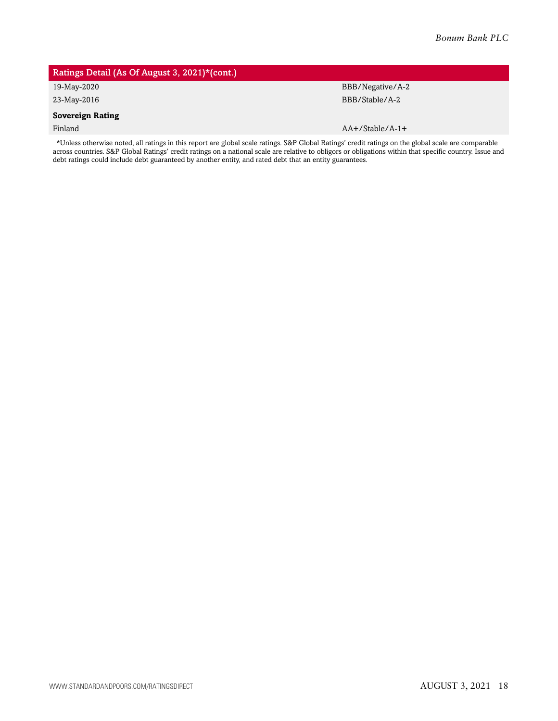### Ratings Detail (As Of August 3, 2021)\*(cont.)

#### **Sovereign Rating**

19-May-2020 BBB/Negative/A-2 23-May-2016 BBB/Stable/A-2

Finland AA+/Stable/A-1+

\*Unless otherwise noted, all ratings in this report are global scale ratings. S&P Global Ratings' credit ratings on the global scale are comparable across countries. S&P Global Ratings' credit ratings on a national scale are relative to obligors or obligations within that specific country. Issue and debt ratings could include debt guaranteed by another entity, and rated debt that an entity guarantees.